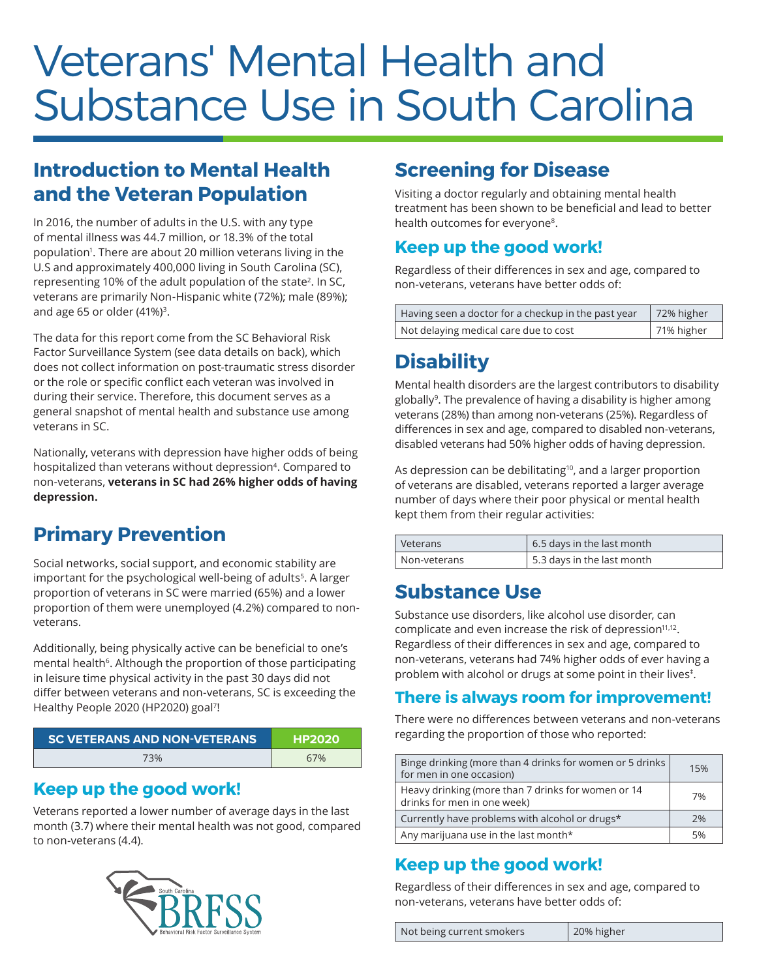# Veterans' Mental Health and Substance Use in South Carolina

## **Introduction to Mental Health and the Veteran Population**

In 2016, the number of adults in the U.S. with any type of mental illness was 44.7 million, or 18.3% of the total population<sup>1</sup>. There are about 20 million veterans living in the U.S and approximately 400,000 living in South Carolina (SC), representing 10% of the adult population of the state<sup>2</sup>. In SC, veterans are primarily Non-Hispanic white (72%); male (89%); and age 65 or older  $(41\%)$ <sup>3</sup>.

The data for this report come from the SC Behavioral Risk Factor Surveillance System (see data details on back), which does not collect information on post-traumatic stress disorder or the role or specific conflict each veteran was involved in during their service. Therefore, this document serves as a general snapshot of mental health and substance use among veterans in SC.

Nationally, veterans with depression have higher odds of being hospitalized than veterans without depression<sup>4</sup>. Compared to non-veterans, **veterans in SC had 26% higher odds of having depression.**

# **Primary Prevention**

Social networks, social support, and economic stability are important for the psychological well-being of adults<sup>5</sup>. A larger proportion of veterans in SC were married (65%) and a lower proportion of them were unemployed (4.2%) compared to nonveterans.

Additionally, being physically active can be beneficial to one's mental health<sup>6</sup>. Although the proportion of those participating in leisure time physical activity in the past 30 days did not differ between veterans and non-veterans, SC is exceeding the Healthy People 2020 (HP2020) goal7!

| <b>SC VETERANS AND NON-VETERANS</b> | <b>HP2020</b> |
|-------------------------------------|---------------|
| 73%                                 | 67%           |

#### **Keep up the good work!**

Veterans reported a lower number of average days in the last month (3.7) where their mental health was not good, compared to non-veterans (4.4).



# **Screening for Disease**

Visiting a doctor regularly and obtaining mental health treatment has been shown to be beneficial and lead to better health outcomes for everyone<sup>8</sup>.

#### **Keep up the good work!**

Regardless of their differences in sex and age, compared to non-veterans, veterans have better odds of:

| Having seen a doctor for a checkup in the past year | 72% higher |
|-----------------------------------------------------|------------|
| Not delaying medical care due to cost               | 71% higher |

# **Disability**

Mental health disorders are the largest contributors to disability globally<sup>9</sup>. The prevalence of having a disability is higher among veterans (28%) than among non-veterans (25%). Regardless of differences in sex and age, compared to disabled non-veterans, disabled veterans had 50% higher odds of having depression.

As depression can be debilitating<sup>10</sup>, and a larger proportion of veterans are disabled, veterans reported a larger average number of days where their poor physical or mental health kept them from their regular activities:

| Veterans     | 6.5 days in the last month |
|--------------|----------------------------|
| Non-veterans | 5.3 days in the last month |

#### **Substance Use**

Substance use disorders, like alcohol use disorder, can complicate and even increase the risk of depression<sup>11,12</sup>. Regardless of their differences in sex and age, compared to non-veterans, veterans had 74% higher odds of ever having a problem with alcohol or drugs at some point in their lives<sup>#</sup>.

#### **There is always room for improvement!**

There were no differences between veterans and non-veterans regarding the proportion of those who reported:

| Binge drinking (more than 4 drinks for women or 5 drinks<br>for men in one occasion) | 15% |
|--------------------------------------------------------------------------------------|-----|
| Heavy drinking (more than 7 drinks for women or 14<br>drinks for men in one week)    | 7%  |
| Currently have problems with alcohol or drugs*                                       | 2%  |
| Any marijuana use in the last month*                                                 | 5%  |

#### **Keep up the good work!**

Regardless of their differences in sex and age, compared to non-veterans, veterans have better odds of:

Not being current smokers | 20% higher